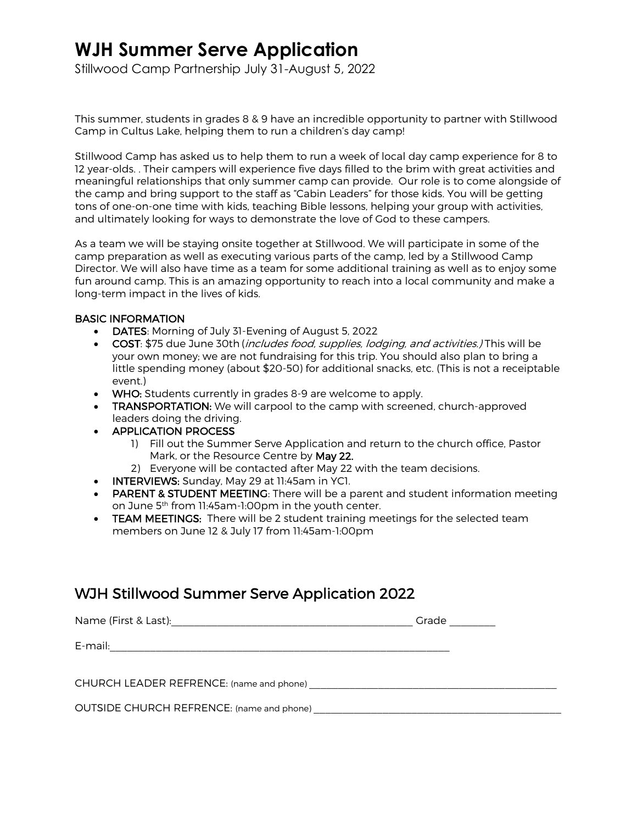# **WJH Summer Serve Application**

Stillwood Camp Partnership July 31-August 5, 2022

This summer, students in grades 8 & 9 have an incredible opportunity to partner with Stillwood Camp in Cultus Lake, helping them to run a children's day camp!

Stillwood Camp has asked us to help them to run a week of local day camp experience for 8 to 12 year-olds. . Their campers will experience five days filled to the brim with great activities and meaningful relationships that only summer camp can provide. Our role is to come alongside of the camp and bring support to the staff as "Cabin Leaders" for those kids. You will be getting tons of one-on-one time with kids, teaching Bible lessons, helping your group with activities, and ultimately looking for ways to demonstrate the love of God to these campers.

As a team we will be staying onsite together at Stillwood. We will participate in some of the camp preparation as well as executing various parts of the camp, led by a Stillwood Camp Director. We will also have time as a team for some additional training as well as to enjoy some fun around camp. This is an amazing opportunity to reach into a local community and make a long-term impact in the lives of kids.

#### BASIC INFORMATION

- DATES: Morning of July 31-Evening of August 5, 2022
- COST: \$75 due June 30th (includes food, supplies, lodging, and activities.) This will be your own money; we are not fundraising for this trip. You should also plan to bring a little spending money (about \$20-50) for additional snacks, etc. (This is not a receiptable event.)
- WHO: Students currently in grades 8-9 are welcome to apply.
- TRANSPORTATION: We will carpool to the camp with screened, church-approved leaders doing the driving.
- APPLICATION PROCESS
	- 1) Fill out the Summer Serve Application and return to the church office, Pastor Mark, or the Resource Centre by May 22.
	- 2) Everyone will be contacted after May 22 with the team decisions.
- INTERVIEWS: Sunday, May 29 at 11:45am in YC1.
- PARENT & STUDENT MEETING: There will be a parent and student information meeting on June 5th from 11:45am-1:00pm in the youth center.
- TEAM MEETINGS: There will be 2 student training meetings for the selected team members on June 12 & July 17 from 11:45am-1:00pm

## WJH Stillwood Summer Serve Application 2022

|                                                                                                                                  | Grade |
|----------------------------------------------------------------------------------------------------------------------------------|-------|
| E-mail:<br><u> 1990 - Johann John Stein, marworth a bhaile ann an t-Iomraidh ann an t-Iomraidh ann an t-Iomraidh ann an t-Io</u> |       |
|                                                                                                                                  |       |
|                                                                                                                                  |       |
| OUTSIDE CHURCH REFRENCE: (name and phone)                                                                                        |       |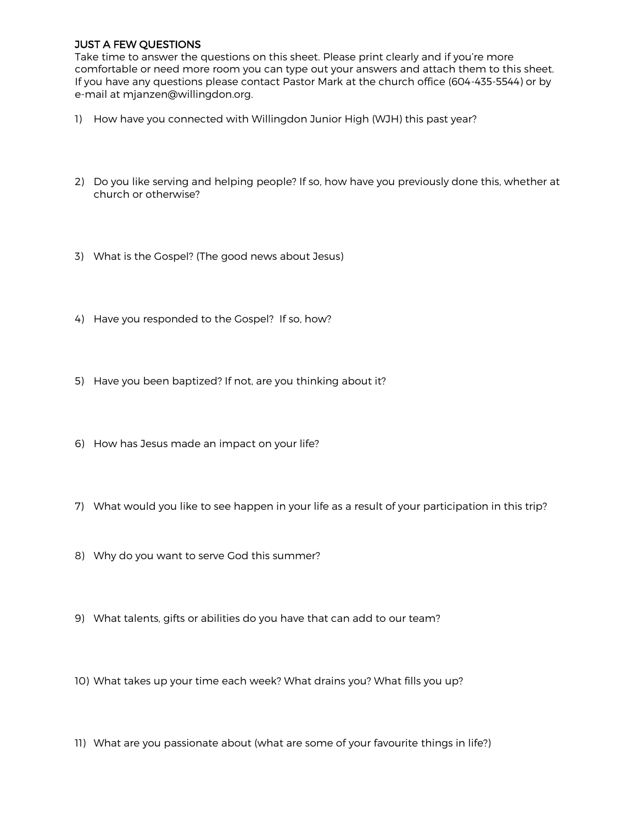#### JUST A FEW QUESTIONS

Take time to answer the questions on this sheet. Please print clearly and if you're more comfortable or need more room you can type out your answers and attach them to this sheet. If you have any questions please contact Pastor Mark at the church office (604-435-5544) or by e-mail at mjanzen@willingdon.org.

- 1) How have you connected with Willingdon Junior High (WJH) this past year?
- 2) Do you like serving and helping people? If so, how have you previously done this, whether at church or otherwise?
- 3) What is the Gospel? (The good news about Jesus)
- 4) Have you responded to the Gospel? If so, how?
- 5) Have you been baptized? If not, are you thinking about it?
- 6) How has Jesus made an impact on your life?
- 7) What would you like to see happen in your life as a result of your participation in this trip?
- 8) Why do you want to serve God this summer?
- 9) What talents, gifts or abilities do you have that can add to our team?
- 10) What takes up your time each week? What drains you? What fills you up?
- 11) What are you passionate about (what are some of your favourite things in life?)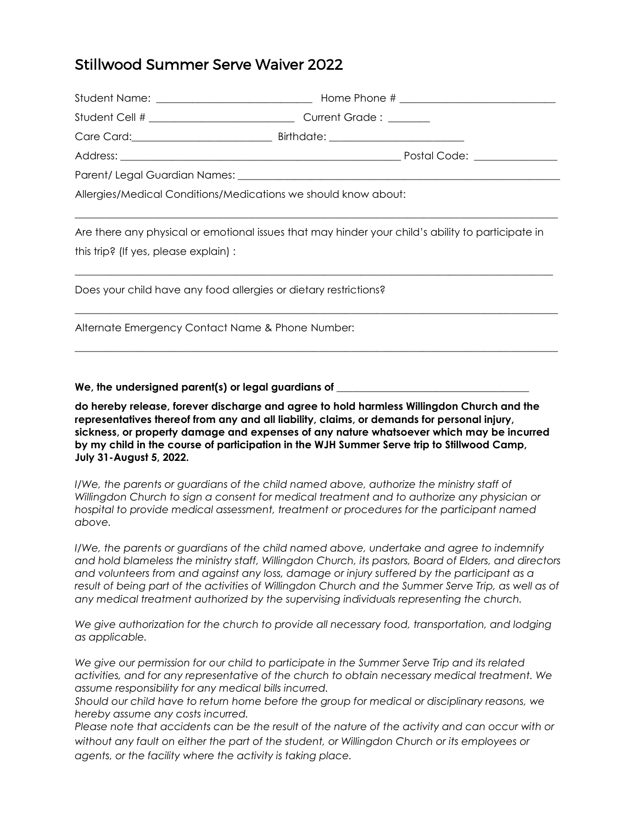## Stillwood Summer Serve Waiver 2022

| Allergies/Medical Conditions/Medications we should know about:                                                                             |  |  |
|--------------------------------------------------------------------------------------------------------------------------------------------|--|--|
| Are there any physical or emotional issues that may hinder your child's ability to participate in<br>this trip? (If yes, please explain) : |  |  |
| Does your child have any food allergies or dietary restrictions?                                                                           |  |  |
| Alternate Emergency Contact Name & Phone Number:                                                                                           |  |  |
|                                                                                                                                            |  |  |

We, the undersigned parent(s) or legal guardians of  $\equiv$ 

**do hereby release, forever discharge and agree to hold harmless Willingdon Church and the representatives thereof from any and all liability, claims, or demands for personal injury, sickness, or property damage and expenses of any nature whatsoever which may be incurred by my child in the course of participation in the WJH Summer Serve trip to Stillwood Camp, July 31-August 5, 2022.** 

*I/We, the parents or guardians of the child named above, authorize the ministry staff of Willingdon Church to sign a consent for medical treatment and to authorize any physician or hospital to provide medical assessment, treatment or procedures for the participant named above.*

*I/We, the parents or guardians of the child named above, undertake and agree to indemnify and hold blameless the ministry staff, Willingdon Church, its pastors, Board of Elders, and directors and volunteers from and against any loss, damage or injury suffered by the participant as a result of being part of the activities of Willingdon Church and the Summer Serve Trip, as well as of any medical treatment authorized by the supervising individuals representing the church.* 

*We give authorization for the church to provide all necessary food, transportation, and lodging as applicable.*

*We give our permission for our child to participate in the Summer Serve Trip and its related activities, and for any representative of the church to obtain necessary medical treatment. We assume responsibility for any medical bills incurred.* 

*Should our child have to return home before the group for medical or disciplinary reasons, we hereby assume any costs incurred.*

*Please note that accidents can be the result of the nature of the activity and can occur with or without any fault on either the part of the student, or Willingdon Church or its employees or agents, or the facility where the activity is taking place.*